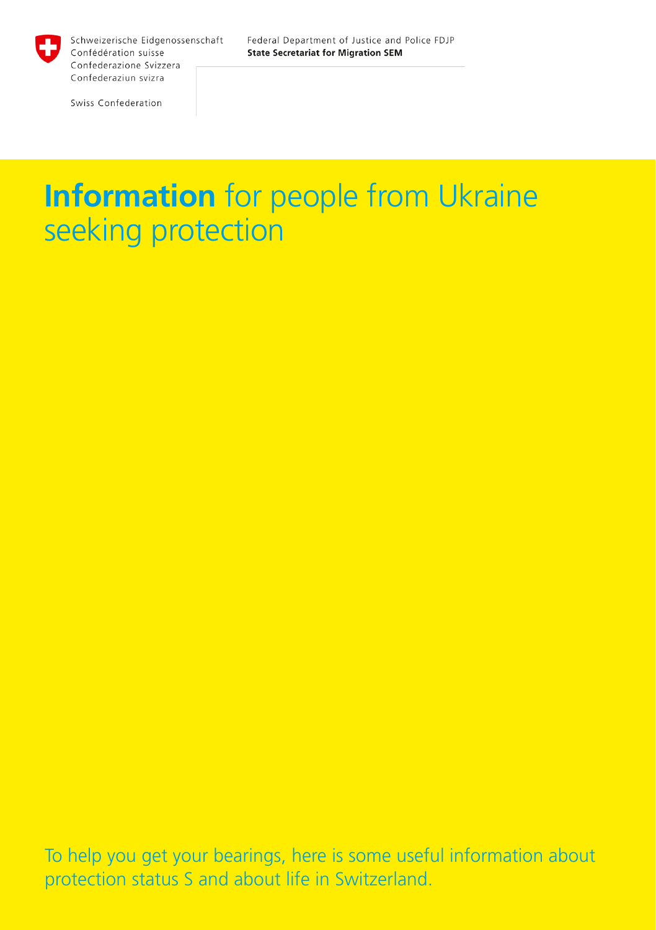

Federal Department of Justice and Police FDJP **State Secretariat for Migration SEM** 

Swiss Confederation

# **Information** for people from Ukraine seeking protection

To help you get your bearings, here is some useful information about protection status S and about life in Switzerland.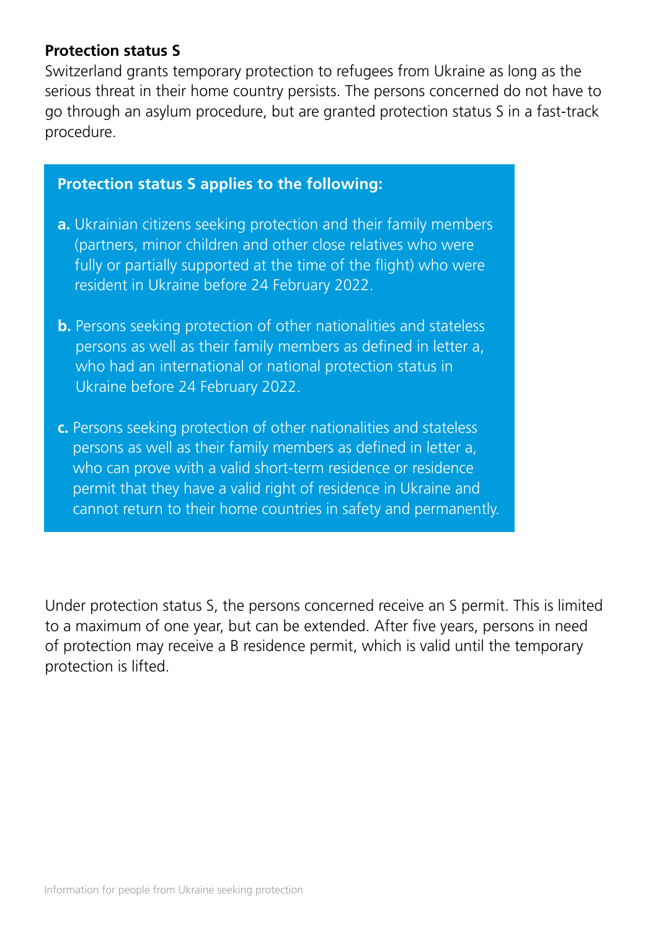#### **Protection status S**

Switzerland grants temporary protection to refugees from Ukraine as long as the serious threat in their home country persists. The persons concerned do not have to go through an asylum procedure, but are granted protection status S in a fast-track procedure.

#### **Protection status S applies to the following:**

- **a.** Ukrainian citizens seeking protection and their family members (partners, minor children and other close relatives who were fully or partially supported at the time of the flight) who were resident in Ukraine before 24 February 2022.
- **b.** Persons seeking protection of other nationalities and stateless persons as well as their family members as defined in letter a, who had an international or national protection status in Ukraine before 24 February 2022.
- **c.** Persons seeking protection of other nationalities and stateless persons as well as their family members as defined in letter a, who can prove with a valid short-term residence or residence permit that they have a valid right of residence in Ukraine and cannot return to their home countries in safety and permanently.

Under protection status S, the persons concerned receive an S permit. This is limited to a maximum of one year, but can be extended. After five years, persons in need of protection may receive a B residence permit, which is valid until the temporary protection is lifted.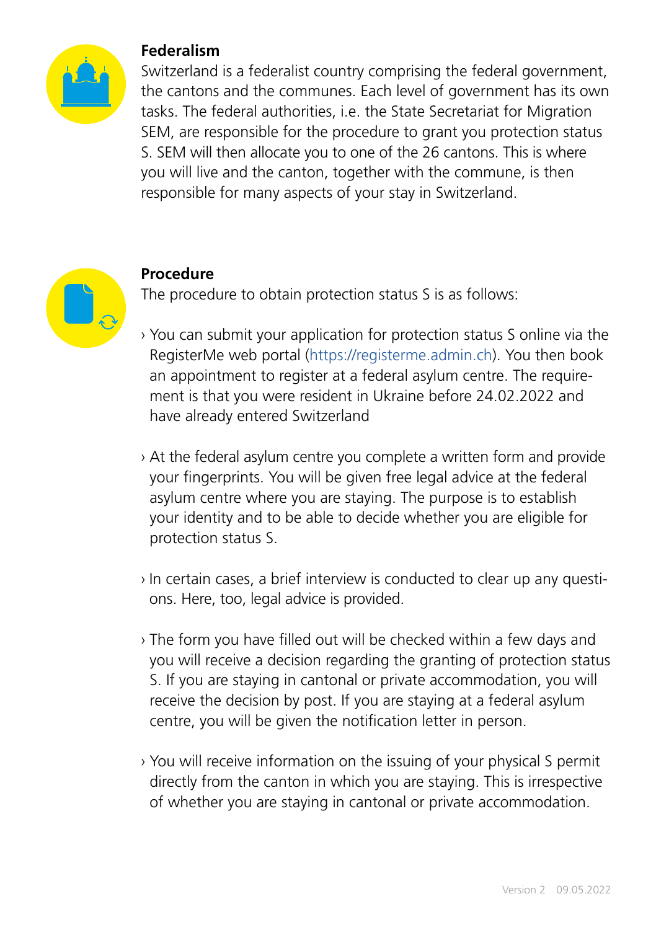

#### **Federalism**

Switzerland is a federalist country comprising the federal government, the cantons and the communes. Each level of government has its own tasks. The federal authorities, i.e. the State Secretariat for Migration SEM, are responsible for the procedure to grant you protection status S. SEM will then allocate you to one of the 26 cantons. This is where you will live and the canton, together with the commune, is then responsible for many aspects of your stay in Switzerland.



#### **Procedure**

The procedure to obtain protection status S is as follows:

- › You can submit your application for protection status S online via the RegisterMe web portal [\(https://registerme.admin.ch](https://registerme.admin.ch)). You then book an appointment to register at a federal asylum centre. The requirement is that you were resident in Ukraine before 24.02.2022 and have already entered Switzerland
- › At the federal asylum centre you complete a written form and provide your fingerprints. You will be given free legal advice at the federal asylum centre where you are staying. The purpose is to establish your identity and to be able to decide whether you are eligible for protection status S.
- › In certain cases, a brief interview is conducted to clear up any questions. Here, too, legal advice is provided.
- › The form you have filled out will be checked within a few days and you will receive a decision regarding the granting of protection status S. If you are staying in cantonal or private accommodation, you will receive the decision by post. If you are staying at a federal asylum centre, you will be given the notification letter in person.
- › You will receive information on the issuing of your physical S permit directly from the canton in which you are staying. This is irrespective of whether you are staying in cantonal or private accommodation.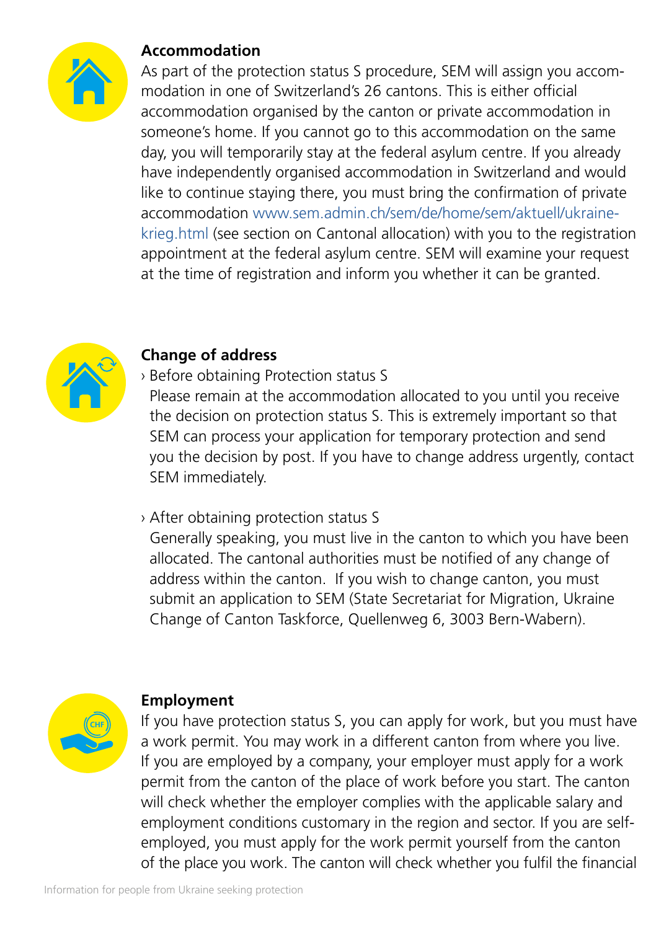

## **Accommodation**

As part of the protection status S procedure, SEM will assign you accommodation in one of Switzerland's 26 cantons. This is either official accommodation organised by the canton or private accommodation in someone's home. If you cannot go to this accommodation on the same day, you will temporarily stay at the federal asylum centre. If you already have independently organised accommodation in Switzerland and would like to continue staying there, you must bring the confirmation of private accommodation [www.sem.admin.ch/sem/de/home/sem/aktuell/ukraine](http://www.sem.admin.ch/sem/de/home/sem/aktuell/ukraine-krieg.html)[krieg.html](http://www.sem.admin.ch/sem/de/home/sem/aktuell/ukraine-krieg.html) (see section on Cantonal allocation) with you to the registration appointment at the federal asylum centre. SEM will examine your request at the time of registration and inform you whether it can be granted.



## **Change of address**

› Before obtaining Protection status S

Please remain at the accommodation allocated to you until you receive the decision on protection status S. This is extremely important so that SEM can process your application for temporary protection and send you the decision by post. If you have to change address urgently, contact SEM immediately.

#### › After obtaining protection status S

Generally speaking, you must live in the canton to which you have been allocated. The cantonal authorities must be notified of any change of address within the canton. If you wish to change canton, you must submit an application to SEM (State Secretariat for Migration, Ukraine Change of Canton Taskforce, Quellenweg 6, 3003 Bern-Wabern).



#### **Employment**

If you have protection status S, you can apply for work, but you must have a work permit. You may work in a different canton from where you live. If you are employed by a company, your employer must apply for a work permit from the canton of the place of work before you start. The canton will check whether the employer complies with the applicable salary and employment conditions customary in the region and sector. If you are selfemployed, you must apply for the work permit yourself from the canton of the place you work. The canton will check whether you fulfil the financial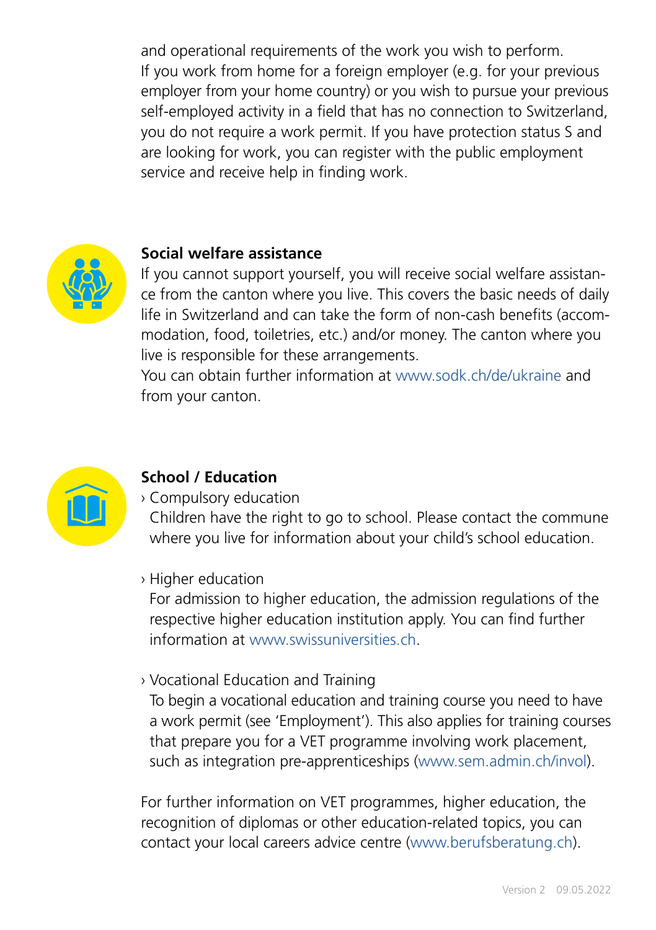and operational requirements of the work you wish to perform. If you work from home for a foreign employer (e.g. for your previous employer from your home country) or you wish to pursue your previous self-employed activity in a field that has no connection to Switzerland, you do not require a work permit. If you have protection status S and are looking for work, you can register with the public employment service and receive help in finding work.



#### **Social welfare assistance**

If you cannot support yourself, you will receive social welfare assistance from the canton where you live. This covers the basic needs of daily life in Switzerland and can take the form of non-cash benefits (accommodation, food, toiletries, etc.) and/or money. The canton where you live is responsible for these arrangements.

You can obtain further information at [www.sodk.ch/de/ukraine](http://www.sodk.ch/de/ukraine) and from your canton.



#### **School / Education**

› Compulsory education

Children have the right to go to school. Please contact the commune where you live for information about your child's school education.

› Higher education

For admission to higher education, the admission regulations of the respective higher education institution apply. You can find further information at [www.swissuniversities.ch](http://www.swissuniversities.ch).

› Vocational Education and Training

To begin a vocational education and training course you need to have a work permit (see 'Employment'). This also applies for training courses that prepare you for a VET programme involving work placement, such as integration pre-apprenticeships ([www.sem.admin.ch/invol](http://www.sem.admin.ch/invol)).

For further information on VET programmes, higher education, the recognition of diplomas or other education-related topics, you can contact your local careers advice centre ([www.berufsberatung.ch\)](http://www.berufsberatung.ch).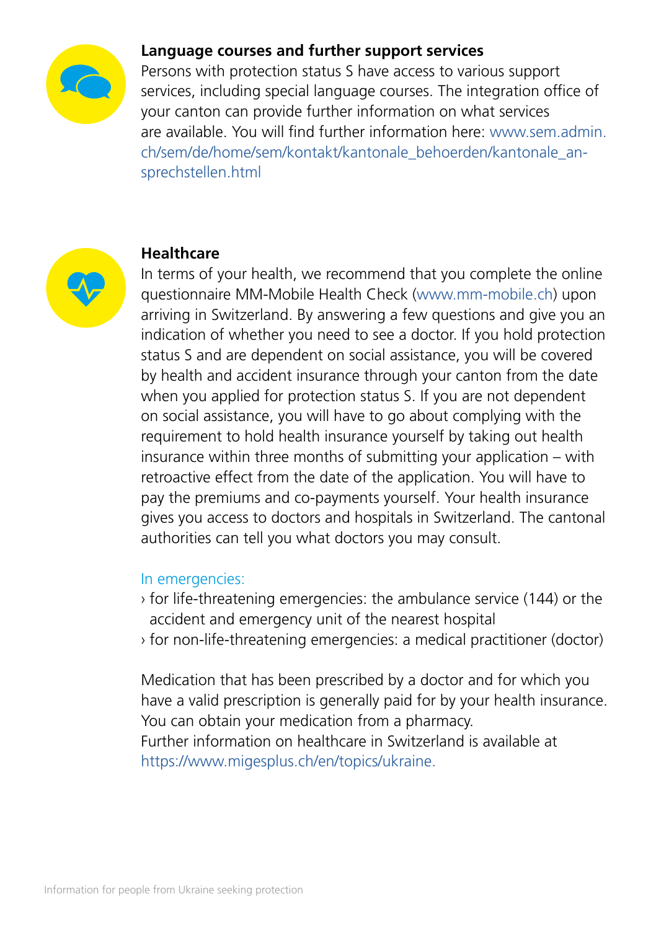

#### **Language courses and further support services**

Persons with protection status S have access to various support services, including special language courses. The integration office of your canton can provide further information on what services are available. You will find further information here: [www.sem.admin.](http://www.sem.admin.ch/sem/de/home/sem/kontakt/kantonale_behoerden/kantonale_ansprechstellen.html) [ch/sem/de/home/sem/kontakt/kantonale\\_behoerden/kantonale\\_an](http://www.sem.admin.ch/sem/de/home/sem/kontakt/kantonale_behoerden/kantonale_ansprechstellen.html)[sprechstellen.html](http://www.sem.admin.ch/sem/de/home/sem/kontakt/kantonale_behoerden/kantonale_ansprechstellen.html)



#### **Healthcare**

In terms of your health, we recommend that you complete the online questionnaire MM-Mobile Health Check ([www.mm-mobile.ch\)](http://www.mm-mobile.ch) upon arriving in Switzerland. By answering a few questions and give you an indication of whether you need to see a doctor. If you hold protection status S and are dependent on social assistance, you will be covered by health and accident insurance through your canton from the date when you applied for protection status S. If you are not dependent on social assistance, you will have to go about complying with the requirement to hold health insurance yourself by taking out health insurance within three months of submitting your application – with retroactive effect from the date of the application. You will have to pay the premiums and co-payments yourself. Your health insurance gives you access to doctors and hospitals in Switzerland. The cantonal authorities can tell you what doctors you may consult.

#### In emergencies:

- › for life-threatening emergencies: the ambulance service (144) or the accident and emergency unit of the nearest hospital
- › for non-life-threatening emergencies: a medical practitioner (doctor)

Medication that has been prescribed by a doctor and for which you have a valid prescription is generally paid for by your health insurance. You can obtain your medication from a pharmacy. Further information on healthcare in Switzerland is available at [https://www.migesplus.ch/en/topics/ukraine.](https://www.migesplus.ch/en/topics/ukraine)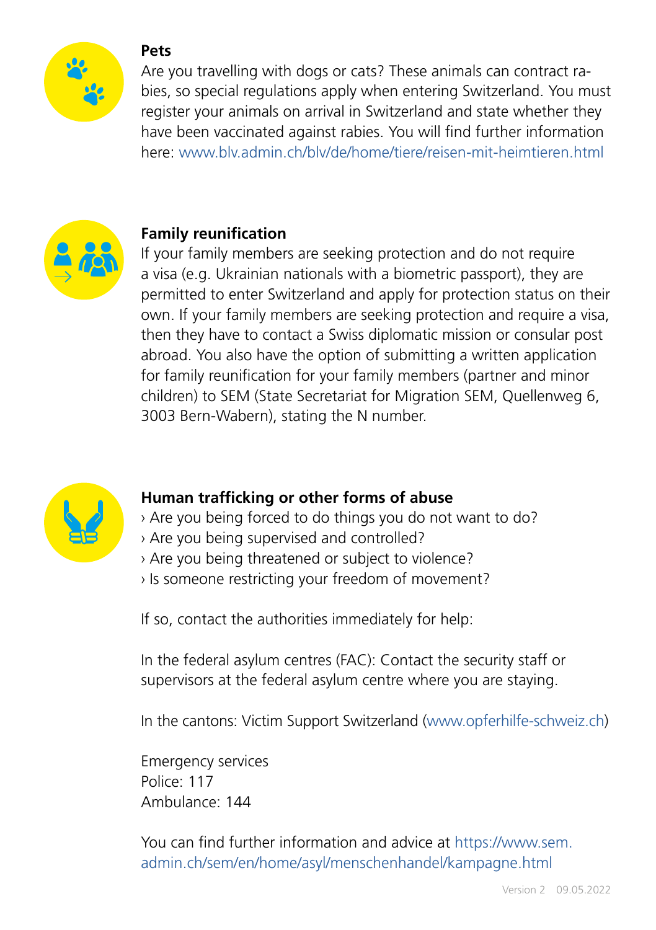

#### **Pets**

Are you travelling with dogs or cats? These animals can contract rabies, so special regulations apply when entering Switzerland. You must register your animals on arrival in Switzerland and state whether they have been vaccinated against rabies. You will find further information here: [www.blv.admin.ch/blv/de/home/tiere/reisen-mit-heimtieren.html](http://www.blv.admin.ch/blv/de/home/tiere/reisen-mit-heimtieren.html)



# **Family reunification**

If your family members are seeking protection and do not require a visa (e.g. Ukrainian nationals with a biometric passport), they are permitted to enter Switzerland and apply for protection status on their own. If your family members are seeking protection and require a visa, then they have to contact a Swiss diplomatic mission or consular post abroad. You also have the option of submitting a written application for family reunification for your family members (partner and minor children) to SEM (State Secretariat for Migration SEM, Quellenweg 6, 3003 Bern-Wabern), stating the N number.



# **Human trafficking or other forms of abuse**

- › Are you being forced to do things you do not want to do?
- › Are you being supervised and controlled?
- › Are you being threatened or subject to violence?
- › Is someone restricting your freedom of movement?

If so, contact the authorities immediately for help:

In the federal asylum centres (FAC): Contact the security staff or supervisors at the federal asylum centre where you are staying.

In the cantons: Victim Support Switzerland [\(www.opferhilfe-schweiz.ch\)](https://www.opferhilfe-schweiz.ch/en/)

Emergency services Police: 117 Ambulance: 144

You can find further information and advice at [https://www.sem.](https://www.sem.admin.ch/sem/en/home/asyl/menschenhandel/kampagne.html) [admin.ch/sem/en/home/asyl/menschenhandel/kampagne.html](https://www.sem.admin.ch/sem/en/home/asyl/menschenhandel/kampagne.html)